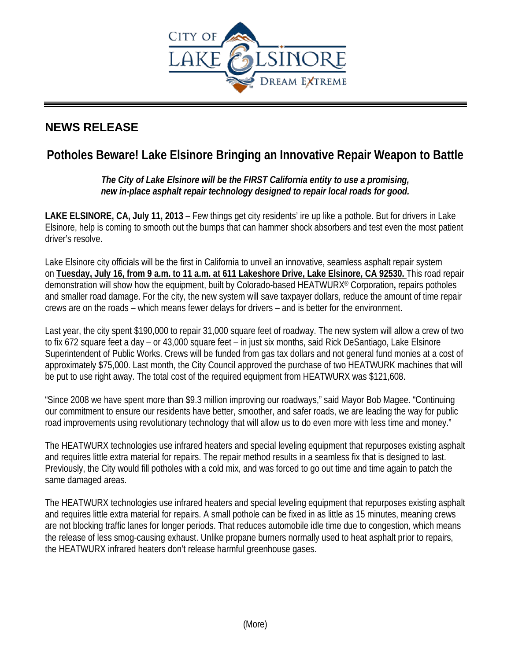

## **NEWS RELEASE**

# **Potholes Beware! Lake Elsinore Bringing an Innovative Repair Weapon to Battle**

## *The City of Lake Elsinore will be the FIRST California entity to use a promising, new in-place asphalt repair technology designed to repair local roads for good.*

**LAKE ELSINORE, CA, July 11, 2013** – Few things get city residents' ire up like a pothole. But for drivers in Lake Elsinore, help is coming to smooth out the bumps that can hammer shock absorbers and test even the most patient driver's resolve.

Lake Elsinore city officials will be the first in California to unveil an innovative, seamless asphalt repair system on **Tuesday, July 16, from 9 a.m. to 11 a.m. at 611 Lakeshore Drive, Lake Elsinore, CA 92530.** This road repair demonstration will show how the equipment, built by Colorado-based HEATWURX® Corporation**,** repairs potholes and smaller road damage. For the city, the new system will save taxpayer dollars, reduce the amount of time repair crews are on the roads – which means fewer delays for drivers – and is better for the environment.

Last year, the city spent \$190,000 to repair 31,000 square feet of roadway. The new system will allow a crew of two to fix 672 square feet a day – or 43,000 square feet – in just six months, said Rick DeSantiago, Lake Elsinore Superintendent of Public Works. Crews will be funded from gas tax dollars and not general fund monies at a cost of approximately \$75,000. Last month, the City Council approved the purchase of two HEATWURK machines that will be put to use right away. The total cost of the required equipment from HEATWURX was \$121,608.

"Since 2008 we have spent more than \$9.3 million improving our roadways," said Mayor Bob Magee. "Continuing our commitment to ensure our residents have better, smoother, and safer roads, we are leading the way for public road improvements using revolutionary technology that will allow us to do even more with less time and money."

The HEATWURX technologies use infrared heaters and special leveling equipment that repurposes existing asphalt and requires little extra material for repairs. The repair method results in a seamless fix that is designed to last. Previously, the City would fill potholes with a cold mix, and was forced to go out time and time again to patch the same damaged areas.

The HEATWURX technologies use infrared heaters and special leveling equipment that repurposes existing asphalt and requires little extra material for repairs. A small pothole can be fixed in as little as 15 minutes, meaning crews are not blocking traffic lanes for longer periods. That reduces automobile idle time due to congestion, which means the release of less smog-causing exhaust. Unlike propane burners normally used to heat asphalt prior to repairs, the HEATWURX infrared heaters don't release harmful greenhouse gases.